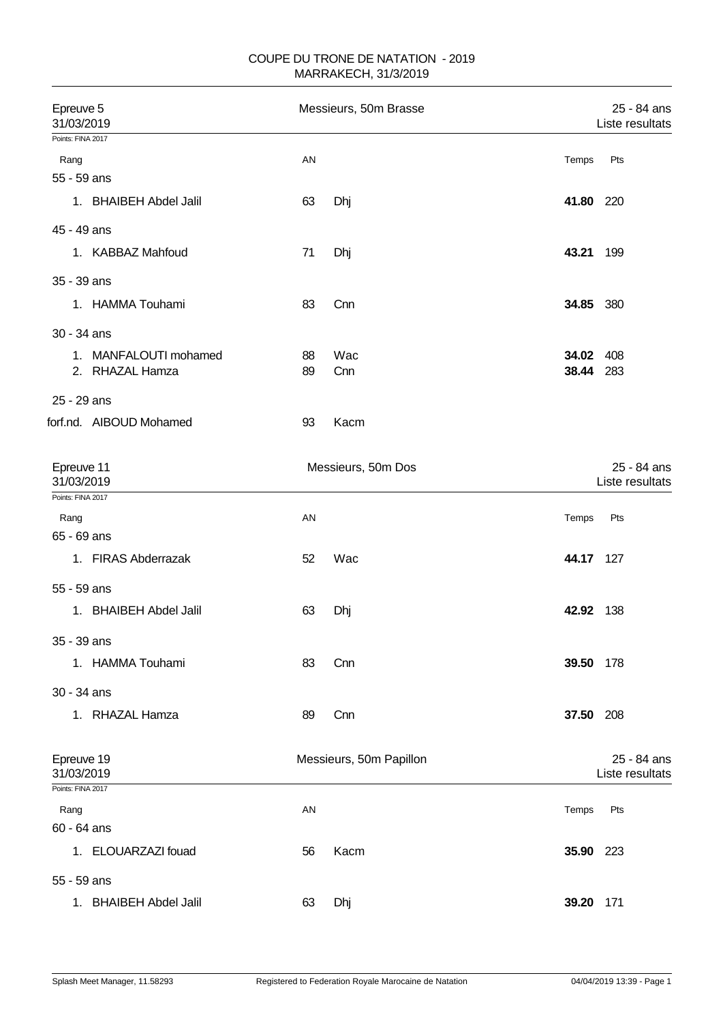## COUPE DU TRONE DE NATATION - 2019 MARRAKECH, 31/3/2019

| Epreuve 5<br>Messieurs, 50m Brasse<br>31/03/2019 |                    |                         | 25 - 84 ans<br>Liste resultats |                                |
|--------------------------------------------------|--------------------|-------------------------|--------------------------------|--------------------------------|
| Points: FINA 2017                                |                    |                         |                                |                                |
| Rang                                             | AN                 |                         | Temps                          | Pts                            |
| 55 - 59 ans                                      |                    |                         |                                |                                |
| 1. BHAIBEH Abdel Jalil                           | 63                 | Dhj                     | 41.80                          | 220                            |
| 45 - 49 ans                                      |                    |                         |                                |                                |
| 1. KABBAZ Mahfoud                                | 71                 | Dhj                     | 43.21                          | 199                            |
| 35 - 39 ans                                      |                    |                         |                                |                                |
| 1. HAMMA Touhami                                 | 83                 | Cnn                     | 34.85                          | 380                            |
| 30 - 34 ans                                      |                    |                         |                                |                                |
| 1. MANFALOUTI mohamed                            | 88                 | Wac                     | 34.02 408                      |                                |
| 2. RHAZAL Hamza                                  | 89                 | Cnn                     | 38.44                          | 283                            |
| 25 - 29 ans                                      |                    |                         |                                |                                |
| forf.nd. AIBOUD Mohamed                          | 93                 | Kacm                    |                                |                                |
|                                                  |                    |                         |                                |                                |
| Epreuve 11<br>31/03/2019                         | Messieurs, 50m Dos |                         |                                | 25 - 84 ans<br>Liste resultats |
| Points: FINA 2017                                |                    |                         |                                |                                |
| Rang                                             | AN                 |                         | Temps                          | Pts                            |
| 65 - 69 ans                                      |                    |                         |                                |                                |
| 1. FIRAS Abderrazak                              | 52                 | Wac                     | 44.17                          | 127                            |
| 55 - 59 ans                                      |                    |                         |                                |                                |
| 1. BHAIBEH Abdel Jalil                           | 63                 | Dhj                     | 42.92 138                      |                                |
|                                                  |                    |                         |                                |                                |
| 35 - 39 ans                                      |                    |                         |                                |                                |
| 1. HAMMA Touhami                                 | 83                 | Cnn                     | 39.50                          | 178                            |
| 30 - 34 ans                                      |                    |                         |                                |                                |
| 1. RHAZAL Hamza                                  | 89                 | Cnn                     | 37.50                          | 208                            |
|                                                  |                    |                         |                                |                                |
| Epreuve 19<br>31/03/2019                         |                    | Messieurs, 50m Papillon |                                | 25 - 84 ans<br>Liste resultats |
| Points: FINA 2017                                |                    |                         |                                |                                |
| Rang                                             | <b>AN</b>          |                         | Temps                          | Pts                            |
| 60 - 64 ans                                      |                    |                         |                                |                                |
| 1. ELOUARZAZI fouad                              | 56                 | Kacm                    | 35.90                          | 223                            |
| 55 - 59 ans                                      |                    |                         |                                |                                |
| 1. BHAIBEH Abdel Jalil                           | 63                 | Dhj                     | 39.20                          | 171                            |
|                                                  |                    |                         |                                |                                |